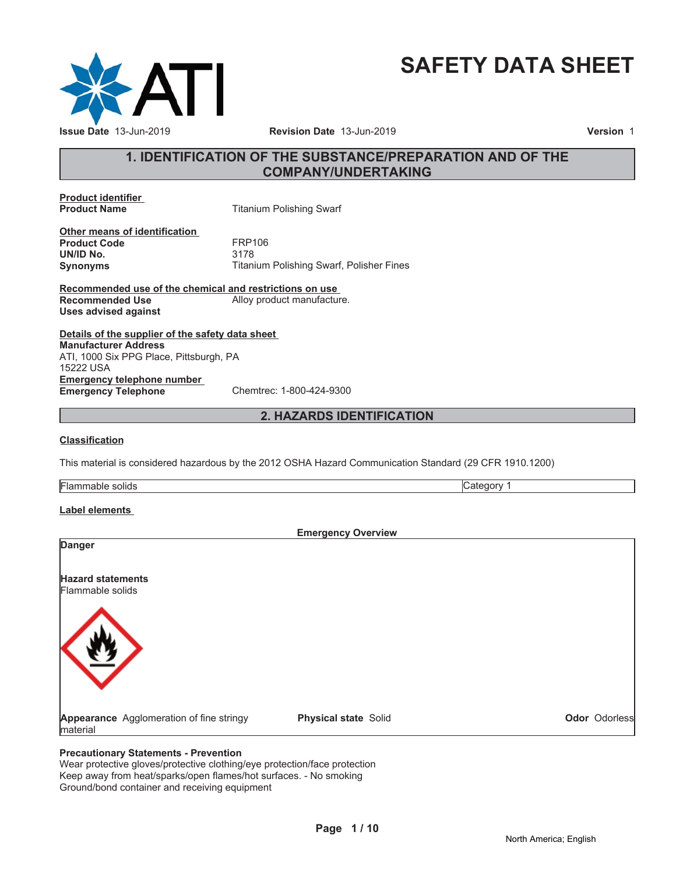

# **SAFETY DATA SHEET**

### **1. IDENTIFICATION OF THE SUBSTANCE/PREPARATION AND OF THE COMPANY/UNDERTAKING**

**Product identifier**

**Titanium Polishing Swarf** 

**Other means of identification Product Code FRP106**<br> **UN/ID No.** 3178 **UN/ID No.** 

**Synonyms** Titanium Polishing Swarf, Polisher Fines

**Recommended use of the chemical and restrictions on use Recommended Use** Alloy product manufacture. **Uses advised against**

**Details of the supplier of the safety data sheet Emergency telephone number Emergency Telephone** Chemtrec: 1-800-424-9300 **Manufacturer Address** ATI, 1000 Six PPG Place, Pittsburgh, PA 15222 USA

### **2. HAZARDS IDENTIFICATION**

#### **Classification**

This material is considered hazardous by the 2012 OSHA Hazard Communication Standard (29 CFR 1910.1200)

Flammable solids **Category 1 Category 1** 

### **Label elements**

| <b>Emergency Overview</b>                            |                      |                      |
|------------------------------------------------------|----------------------|----------------------|
| <b>Danger</b>                                        |                      |                      |
| <b>Hazard statements</b><br>Flammable solids         |                      |                      |
|                                                      |                      |                      |
| Appearance Agglomeration of fine stringy<br>material | Physical state Solid | <b>Odor</b> Odorless |

#### **Precautionary Statements - Prevention**

Wear protective gloves/protective clothing/eye protection/face protection Keep away from heat/sparks/open flames/hot surfaces. - No smoking Ground/bond container and receiving equipment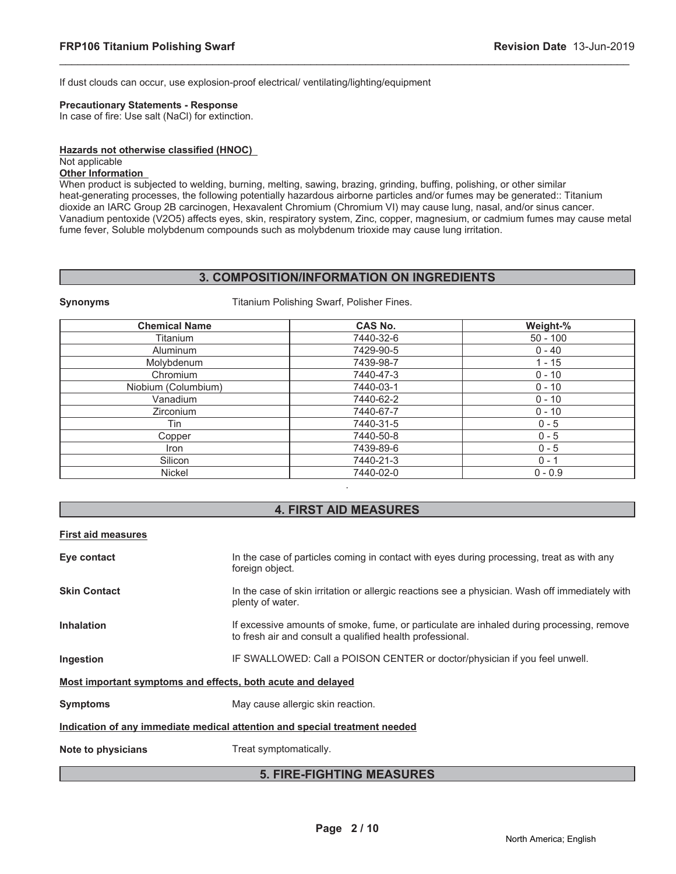If dust clouds can occur, use explosion-proof electrical/ ventilating/lighting/equipment

**Synonyms** Titanium Polishing Swarf, Polisher Fines.

#### **Precautionary Statements - Response**

In case of fire: Use salt (NaCl) for extinction.

#### **Hazards not otherwise classified (HNOC)**

#### Not applicable

### **Other Information**

When product is subjected to welding, burning, melting, sawing, brazing, grinding, buffing, polishing, or other similar heat-generating processes, the following potentially hazardous airborne particles and/or fumes may be generated:: Titanium dioxide an IARC Group 2B carcinogen, Hexavalent Chromium (Chromium VI) may cause lung, nasal, and/or sinus cancer. Vanadium pentoxide (V2O5) affects eyes, skin, respiratory system, Zinc, copper, magnesium, or cadmium fumes may cause metal fume fever, Soluble molybdenum compounds such as molybdenum trioxide may cause lung irritation.

\_\_\_\_\_\_\_\_\_\_\_\_\_\_\_\_\_\_\_\_\_\_\_\_\_\_\_\_\_\_\_\_\_\_\_\_\_\_\_\_\_\_\_\_\_\_\_\_\_\_\_\_\_\_\_\_\_\_\_\_\_\_\_\_\_\_\_\_\_\_\_\_\_\_\_\_\_\_\_\_\_\_\_\_\_\_\_\_\_\_\_\_\_

#### **3. COMPOSITION/INFORMATION ON INGREDIENTS**

| <b>Chemical Name</b> | <b>CAS No.</b> | Weight-%   |
|----------------------|----------------|------------|
| Titanium             | 7440-32-6      | $50 - 100$ |
| <b>Aluminum</b>      | 7429-90-5      | $0 - 40$   |
| Molybdenum           | 7439-98-7      | $1 - 15$   |
| Chromium             | 7440-47-3      | $0 - 10$   |
| Niobium (Columbium)  | 7440-03-1      | $0 - 10$   |
| Vanadium             | 7440-62-2      | $0 - 10$   |
| Zirconium            | 7440-67-7      | $0 - 10$   |
| Tin                  | 7440-31-5      | $0 - 5$    |
| Copper               | 7440-50-8      | $0 - 5$    |
| Iron                 | 7439-89-6      | $0 - 5$    |
| Silicon              | 7440-21-3      | $0 - 1$    |
| <b>Nickel</b>        | 7440-02-0      | $0 - 0.9$  |

### **4. FIRST AID MEASURES**

#### **First aid measures**

| Eye contact                                                                | In the case of particles coming in contact with eyes during processing, treat as with any<br>foreign object.                                           |  |
|----------------------------------------------------------------------------|--------------------------------------------------------------------------------------------------------------------------------------------------------|--|
| <b>Skin Contact</b>                                                        | In the case of skin irritation or allergic reactions see a physician. Wash off immediately with<br>plenty of water.                                    |  |
| <b>Inhalation</b>                                                          | If excessive amounts of smoke, fume, or particulate are inhaled during processing, remove<br>to fresh air and consult a qualified health professional. |  |
| Ingestion                                                                  | IF SWALLOWED: Call a POISON CENTER or doctor/physician if you feel unwell.                                                                             |  |
| Most important symptoms and effects, both acute and delayed                |                                                                                                                                                        |  |
| <b>Symptoms</b>                                                            | May cause allergic skin reaction.                                                                                                                      |  |
| Indication of any immediate medical attention and special treatment needed |                                                                                                                                                        |  |
| Note to physicians                                                         | Treat symptomatically.                                                                                                                                 |  |

#### **5. FIRE-FIGHTING MEASURES**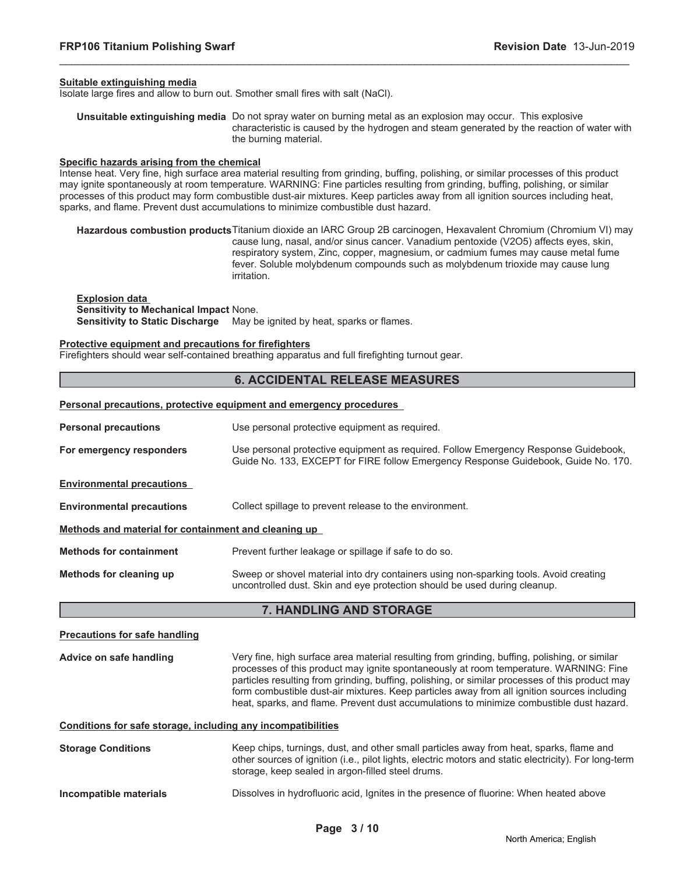#### **Suitable extinguishing media**

Isolate large fires and allow to burn out. Smother small fires with salt (NaCl).

**Unsuitable extinguishing media** Do not spray water on burning metal as an explosion may occur. This explosive characteristic is caused by the hydrogen and steam generated by the reaction of water with the burning material.

\_\_\_\_\_\_\_\_\_\_\_\_\_\_\_\_\_\_\_\_\_\_\_\_\_\_\_\_\_\_\_\_\_\_\_\_\_\_\_\_\_\_\_\_\_\_\_\_\_\_\_\_\_\_\_\_\_\_\_\_\_\_\_\_\_\_\_\_\_\_\_\_\_\_\_\_\_\_\_\_\_\_\_\_\_\_\_\_\_\_\_\_\_

#### **Specific hazards arising from the chemical**

Intense heat. Very fine, high surface area material resulting from grinding, buffing, polishing, or similar processes of this product may ignite spontaneously at room temperature. WARNING: Fine particles resulting from grinding, buffing, polishing, or similar processes of this product may form combustible dust-air mixtures. Keep particles away from all ignition sources including heat, sparks, and flame. Prevent dust accumulations to minimize combustible dust hazard.

**Hazardous combustion products**Titanium dioxide an IARC Group 2B carcinogen, Hexavalent Chromium (Chromium VI) may cause lung, nasal, and/or sinus cancer. Vanadium pentoxide (V2O5) affects eyes, skin, respiratory system, Zinc, copper, magnesium, or cadmium fumes may cause metal fume fever. Soluble molybdenum compounds such as molybdenum trioxide may cause lung irritation.

**Explosion data Sensitivity to Mechanical Impact** None. **Sensitivity to Static Discharge** May be ignited by heat, sparks or flames.

**Personal precautions, protective equipment and emergency procedures**

#### **Protective equipment and precautions for firefighters**

Firefighters should wear self-contained breathing apparatus and full firefighting turnout gear.

#### **6. ACCIDENTAL RELEASE MEASURES**

|                                                      | i croonal precautions, protective equipment and emergency procedures                                                                                                      |
|------------------------------------------------------|---------------------------------------------------------------------------------------------------------------------------------------------------------------------------|
| <b>Personal precautions</b>                          | Use personal protective equipment as required.                                                                                                                            |
| For emergency responders                             | Use personal protective equipment as required. Follow Emergency Response Guidebook,<br>Guide No. 133, EXCEPT for FIRE follow Emergency Response Guidebook, Guide No. 170. |
| <b>Environmental precautions</b>                     |                                                                                                                                                                           |
| <b>Environmental precautions</b>                     | Collect spillage to prevent release to the environment.                                                                                                                   |
| Methods and material for containment and cleaning up |                                                                                                                                                                           |
| <b>Methods for containment</b>                       | Prevent further leakage or spillage if safe to do so.                                                                                                                     |
| Methods for cleaning up                              | Sweep or shovel material into dry containers using non-sparking tools. Avoid creating<br>uncontrolled dust. Skin and eye protection should be used during cleanup.        |

#### **7. HANDLING AND STORAGE**

## **Precautions for safe handling Advice on safe handling** Very fine, high surface area material resulting from grinding, buffing, polishing, or similar processes of this product may ignite spontaneously at room temperature. WARNING: Fine particles resulting from grinding, buffing, polishing, or similar processes of this product may form combustible dust-air mixtures. Keep particles away from all ignition sources including heat, sparks, and flame. Prevent dust accumulations to minimize combustible dust hazard.

**Conditions for safe storage, including any incompatibilities**

| <b>Storage Conditions</b> | Keep chips, turnings, dust, and other small particles away from heat, sparks, flame and<br>other sources of ignition (i.e., pilot lights, electric motors and static electricity). For long-term<br>storage, keep sealed in argon-filled steel drums. |
|---------------------------|-------------------------------------------------------------------------------------------------------------------------------------------------------------------------------------------------------------------------------------------------------|
| Incompatible materials    | Dissolves in hydrofluoric acid, Ignites in the presence of fluorine: When heated above                                                                                                                                                                |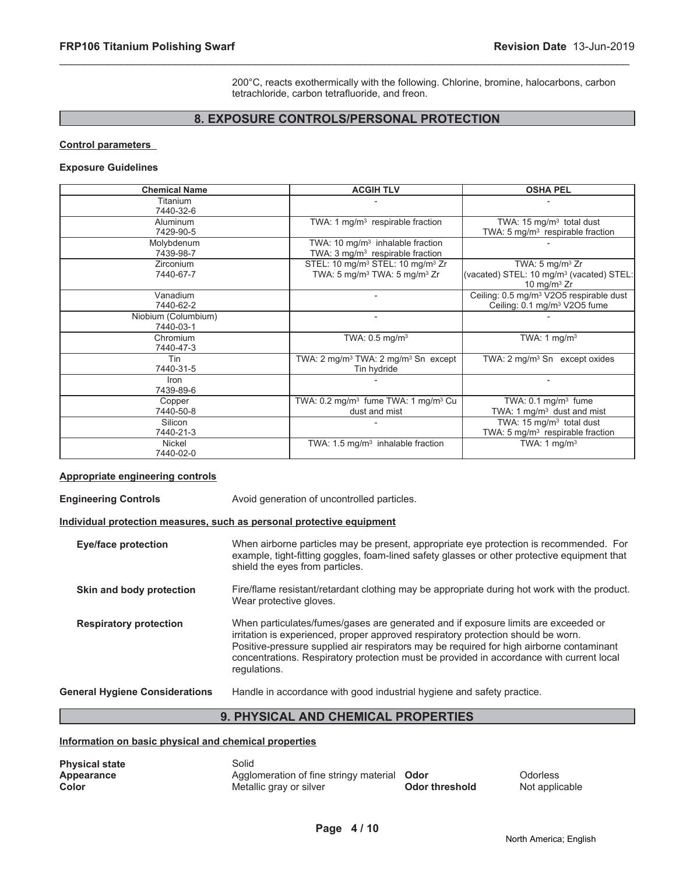200°C, reacts exothermically with the following. Chlorine, bromine, halocarbons, carbon tetrachloride, carbon tetrafluoride, and freon.

### **8. EXPOSURE CONTROLS/PERSONAL PROTECTION**

\_\_\_\_\_\_\_\_\_\_\_\_\_\_\_\_\_\_\_\_\_\_\_\_\_\_\_\_\_\_\_\_\_\_\_\_\_\_\_\_\_\_\_\_\_\_\_\_\_\_\_\_\_\_\_\_\_\_\_\_\_\_\_\_\_\_\_\_\_\_\_\_\_\_\_\_\_\_\_\_\_\_\_\_\_\_\_\_\_\_\_\_\_

#### **Control parameters**

#### **Exposure Guidelines**

| <b>Chemical Name</b>             | <b>ACGIH TLV</b>                                                                                                 | <b>OSHA PEL</b>                                                                                      |
|----------------------------------|------------------------------------------------------------------------------------------------------------------|------------------------------------------------------------------------------------------------------|
| Titanium<br>7440-32-6            |                                                                                                                  |                                                                                                      |
| Aluminum<br>7429-90-5            | TWA: 1 $mg/m3$ respirable fraction                                                                               | TWA: $15 \text{ mg/m}^3$ total dust<br>TWA: 5 mg/m <sup>3</sup> respirable fraction                  |
| Molybdenum<br>7439-98-7          | TWA: 10 mg/m <sup>3</sup> inhalable fraction<br>TWA: 3 mg/m <sup>3</sup> respirable fraction                     |                                                                                                      |
| <b>Zirconium</b><br>7440-67-7    | STEL: 10 mg/m <sup>3</sup> STEL: 10 mg/m <sup>3</sup> Zr<br>TWA: 5 mg/m <sup>3</sup> TWA: 5 mg/m <sup>3</sup> Zr | TWA: $5 \text{ mg/m}^3$ Zr<br>(vacated) STEL: 10 mg/m <sup>3</sup> (vacated) STEL:<br>10 mg/m $3$ Zr |
| Vanadium<br>7440-62-2            |                                                                                                                  | Ceiling: 0.5 mg/m <sup>3</sup> V2O5 respirable dust<br>Ceiling: 0.1 mg/m <sup>3</sup> V2O5 fume      |
| Niobium (Columbium)<br>7440-03-1 | $\overline{\phantom{0}}$                                                                                         |                                                                                                      |
| Chromium<br>7440-47-3            | TWA: 0.5 mg/m <sup>3</sup>                                                                                       | TWA: $1 \text{ mg/m}^3$                                                                              |
| Tin<br>7440-31-5                 | TWA: 2 mg/m <sup>3</sup> TWA: 2 mg/m <sup>3</sup> Sn except<br>Tin hydride                                       | TWA: $2 \text{ mg/m}^3$ Sn except oxides                                                             |
| Iron<br>7439-89-6                |                                                                                                                  |                                                                                                      |
| Copper<br>7440-50-8              | TWA: 0.2 mg/m <sup>3</sup> fume TWA: 1 mg/m <sup>3</sup> Cu<br>dust and mist                                     | TWA: $0.1 \text{ mg/m}^3$ fume<br>TWA: 1 mg/m <sup>3</sup> dust and mist                             |
| Silicon<br>7440-21-3             |                                                                                                                  | TWA: $15 \text{ mg/m}^3$ total dust<br>TWA: 5 mg/m <sup>3</sup> respirable fraction                  |
| Nickel<br>7440-02-0              | TWA: $1.5 \text{ mg/m}^3$ inhalable fraction                                                                     | TWA: 1 $mq/m3$                                                                                       |

#### **Appropriate engineering controls**

**Engineering Controls** Avoid generation of uncontrolled particles.

### **Individual protection measures, such as personal protective equipment**

| <b>Eye/face protection</b>            | When airborne particles may be present, appropriate eye protection is recommended. For<br>example, tight-fitting goggles, foam-lined safety glasses or other protective equipment that<br>shield the eyes from particles.                                                                                                                                                       |
|---------------------------------------|---------------------------------------------------------------------------------------------------------------------------------------------------------------------------------------------------------------------------------------------------------------------------------------------------------------------------------------------------------------------------------|
| Skin and body protection              | Fire/flame resistant/retardant clothing may be appropriate during hot work with the product.<br>Wear protective gloves.                                                                                                                                                                                                                                                         |
| <b>Respiratory protection</b>         | When particulates/fumes/gases are generated and if exposure limits are exceeded or<br>irritation is experienced, proper approved respiratory protection should be worn.<br>Positive-pressure supplied air respirators may be required for high airborne contaminant<br>concentrations. Respiratory protection must be provided in accordance with current local<br>regulations. |
| <b>General Hygiene Considerations</b> | Handle in accordance with good industrial hygiene and safety practice.                                                                                                                                                                                                                                                                                                          |

### **9. PHYSICAL AND CHEMICAL PROPERTIES**

#### **Information on basic physical and chemical properties**

| <b>Physical state</b> | Solid                                              |                |                |
|-----------------------|----------------------------------------------------|----------------|----------------|
| Appearance            | Agglomeration of fine stringy material <b>Odor</b> |                | Odorless       |
| Color                 | Metallic gray or silver                            | Odor threshold | Not applicable |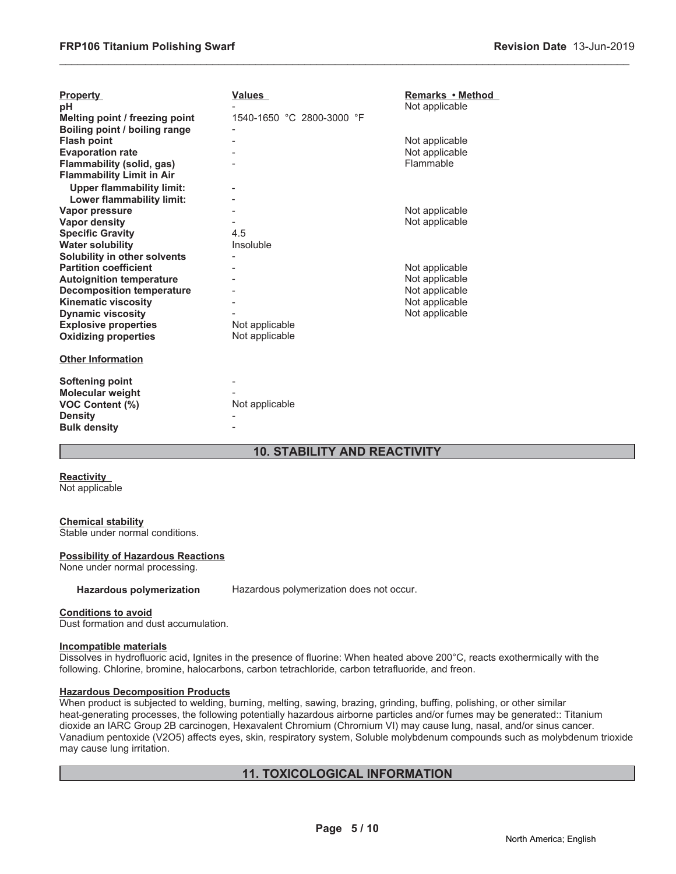| <b>Property</b>                  | <b>Values</b>             | Remarks • Method |
|----------------------------------|---------------------------|------------------|
| pH                               |                           | Not applicable   |
| Melting point / freezing point   | 1540-1650 °C 2800-3000 °F |                  |
| Boiling point / boiling range    |                           |                  |
| <b>Flash point</b>               |                           | Not applicable   |
| <b>Evaporation rate</b>          |                           | Not applicable   |
| Flammability (solid, gas)        |                           | Flammable        |
| <b>Flammability Limit in Air</b> |                           |                  |
| <b>Upper flammability limit:</b> |                           |                  |
| Lower flammability limit:        |                           |                  |
| Vapor pressure                   |                           | Not applicable   |
| <b>Vapor density</b>             |                           | Not applicable   |
| <b>Specific Gravity</b>          | 4.5                       |                  |
| <b>Water solubility</b>          | Insoluble                 |                  |
| Solubility in other solvents     |                           |                  |
| <b>Partition coefficient</b>     |                           | Not applicable   |
| <b>Autoignition temperature</b>  |                           | Not applicable   |
| <b>Decomposition temperature</b> |                           | Not applicable   |
| <b>Kinematic viscosity</b>       |                           | Not applicable   |
| <b>Dynamic viscosity</b>         |                           | Not applicable   |
| <b>Explosive properties</b>      | Not applicable            |                  |
| <b>Oxidizing properties</b>      | Not applicable            |                  |
|                                  |                           |                  |
| <b>Other Information</b>         |                           |                  |
| Softening point                  |                           |                  |
| Molecular weight                 |                           |                  |
| VOC Content (%)                  | Not applicable            |                  |
| <b>Density</b>                   |                           |                  |
| <b>Bulk density</b>              |                           |                  |
|                                  |                           |                  |

### **10. STABILITY AND REACTIVITY**

\_\_\_\_\_\_\_\_\_\_\_\_\_\_\_\_\_\_\_\_\_\_\_\_\_\_\_\_\_\_\_\_\_\_\_\_\_\_\_\_\_\_\_\_\_\_\_\_\_\_\_\_\_\_\_\_\_\_\_\_\_\_\_\_\_\_\_\_\_\_\_\_\_\_\_\_\_\_\_\_\_\_\_\_\_\_\_\_\_\_\_\_\_

**Reactivity**

Not applicable

#### **Chemical stability**

Stable under normal conditions.

#### **Possibility of Hazardous Reactions**

None under normal processing.

**Hazardous polymerization** Hazardous polymerization does not occur.

#### **Conditions to avoid**

Dust formation and dust accumulation.

#### **Incompatible materials**

Dissolves in hydrofluoric acid, Ignites in the presence of fluorine: When heated above 200°C, reacts exothermically with the following. Chlorine, bromine, halocarbons, carbon tetrachloride, carbon tetrafluoride, and freon.

#### **Hazardous Decomposition Products**

When product is subjected to welding, burning, melting, sawing, brazing, grinding, buffing, polishing, or other similar heat-generating processes, the following potentially hazardous airborne particles and/or fumes may be generated:: Titanium dioxide an IARC Group 2B carcinogen, Hexavalent Chromium (Chromium VI) may cause lung, nasal, and/or sinus cancer. Vanadium pentoxide (V2O5) affects eyes, skin, respiratory system, Soluble molybdenum compounds such as molybdenum trioxide may cause lung irritation.

#### **11. TOXICOLOGICAL INFORMATION**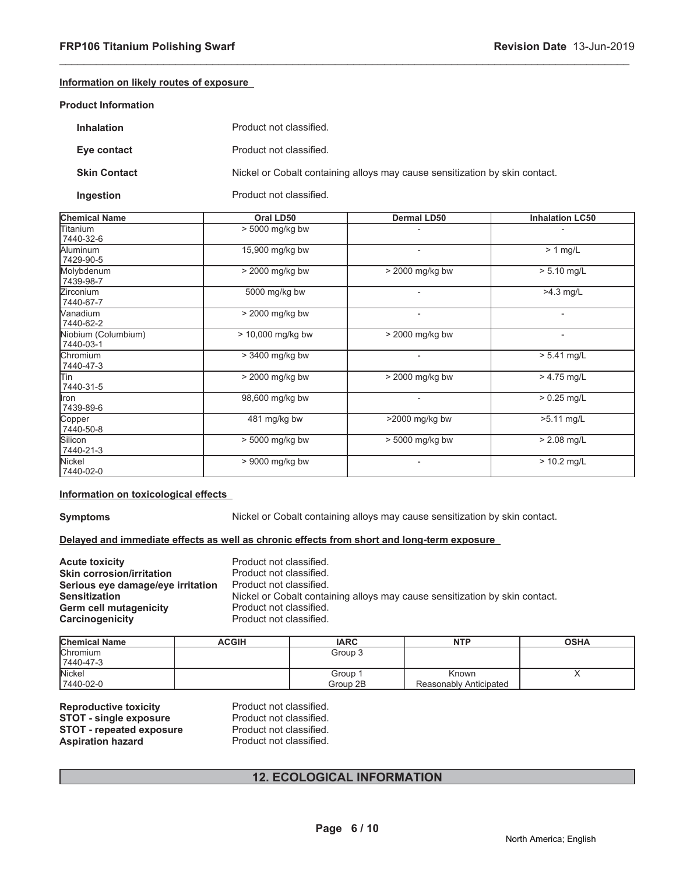#### **Information on likely routes of exposure**

#### **Product Information**

| <b>Inhalation</b>   | Product not classified.                                                     |
|---------------------|-----------------------------------------------------------------------------|
| Eye contact         | Product not classified.                                                     |
| <b>Skin Contact</b> | Nickel or Cobalt containing alloys may cause sensitization by skin contact. |
| Ingestion           | Product not classified.                                                     |

\_\_\_\_\_\_\_\_\_\_\_\_\_\_\_\_\_\_\_\_\_\_\_\_\_\_\_\_\_\_\_\_\_\_\_\_\_\_\_\_\_\_\_\_\_\_\_\_\_\_\_\_\_\_\_\_\_\_\_\_\_\_\_\_\_\_\_\_\_\_\_\_\_\_\_\_\_\_\_\_\_\_\_\_\_\_\_\_\_\_\_\_\_

| <b>Chemical Name</b>             | Oral LD50         | Dermal LD50       | <b>Inhalation LC50</b> |
|----------------------------------|-------------------|-------------------|------------------------|
| Titanium<br>7440-32-6            | > 5000 mg/kg bw   |                   |                        |
| Aluminum<br>7429-90-5            | 15,900 mg/kg bw   |                   | $> 1$ mg/L             |
| Molybdenum<br>7439-98-7          | > 2000 mg/kg bw   | > 2000 mg/kg bw   | $> 5.10$ mg/L          |
| <b>Zirconium</b><br>7440-67-7    | 5000 mg/kg bw     |                   | $>4.3$ mg/L            |
| Wanadium<br>7440-62-2            | > 2000 mg/kg bw   |                   | $\overline{a}$         |
| Niobium (Columbium)<br>7440-03-1 | > 10,000 mg/kg bw | $>$ 2000 mg/kg bw | $\blacksquare$         |
| Chromium<br>7440-47-3            | > 3400 mg/kg bw   |                   | $> 5.41$ mg/L          |
| lTin<br>7440-31-5                | > 2000 mg/kg bw   | $>$ 2000 mg/kg bw | $> 4.75$ mg/L          |
| Iron<br>7439-89-6                | 98,600 mg/kg bw   |                   | $> 0.25$ mg/L          |
| Copper<br>7440-50-8              | 481 mg/kg bw      | >2000 mg/kg bw    | >5.11 mg/L             |
| Silicon<br>7440-21-3             | > 5000 mg/kg bw   | $> 5000$ mg/kg bw | $> 2.08$ mg/L          |
| Nickel<br>7440-02-0              | > 9000 mg/kg bw   |                   | $> 10.2$ mg/L          |

#### **Information on toxicological effects**

**Symptoms** Nickel or Cobalt containing alloys may cause sensitization by skin contact.

#### **Delayed and immediate effects as well as chronic effects from short and long-term exposure**

| <b>Acute toxicity</b>             | Product not classified.                                                     |
|-----------------------------------|-----------------------------------------------------------------------------|
| <b>Skin corrosion/irritation</b>  | Product not classified.                                                     |
| Serious eye damage/eye irritation | Product not classified.                                                     |
| <b>Sensitization</b>              | Nickel or Cobalt containing alloys may cause sensitization by skin contact. |
| Germ cell mutagenicity            | Product not classified.                                                     |
| <b>Carcinogenicity</b>            | Product not classified.                                                     |

| <b>Chemical Name</b> | <b>ACGIH</b> | <b>IARC</b> | <b>NTP</b>             | <b>OSHA</b> |
|----------------------|--------------|-------------|------------------------|-------------|
| <b>Chromium</b>      |              | Group 3     |                        |             |
| 17440-47-3           |              |             |                        |             |
| <b>Nickel</b>        |              | Group 1     | Known                  |             |
| 7440-02-0            |              | Group 2B    | Reasonably Anticipated |             |

**Reproductive toxicity** Product not classified.<br> **STOT - single exposure** Product not classified. **STOT - single exposure** Product not classified.<br> **STOT - repeated exposure** Product not classified. **STOT - repeated exposure** Product not classified.<br> **Aspiration hazard** Product not classified. **Aspiration hazard** 

### **12. ECOLOGICAL INFORMATION**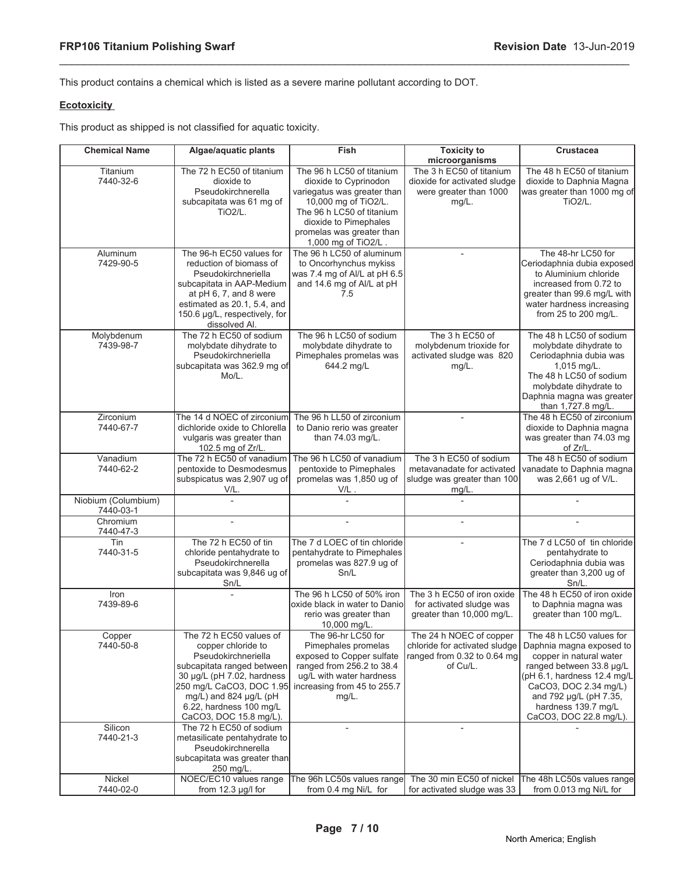This product contains a chemical which is listed as a severe marine pollutant according to DOT.

\_\_\_\_\_\_\_\_\_\_\_\_\_\_\_\_\_\_\_\_\_\_\_\_\_\_\_\_\_\_\_\_\_\_\_\_\_\_\_\_\_\_\_\_\_\_\_\_\_\_\_\_\_\_\_\_\_\_\_\_\_\_\_\_\_\_\_\_\_\_\_\_\_\_\_\_\_\_\_\_\_\_\_\_\_\_\_\_\_\_\_\_\_

#### **Ecotoxicity**

This product as shipped is not classified for aquatic toxicity.

| <b>Chemical Name</b>             | Algae/aquatic plants                                                                                                                                                                                                                        | <b>Fish</b>                                                                                                                                                                                                         | <b>Toxicity to</b><br>microorganisms                                                                | Crustacea                                                                                                                                                                                                                                       |
|----------------------------------|---------------------------------------------------------------------------------------------------------------------------------------------------------------------------------------------------------------------------------------------|---------------------------------------------------------------------------------------------------------------------------------------------------------------------------------------------------------------------|-----------------------------------------------------------------------------------------------------|-------------------------------------------------------------------------------------------------------------------------------------------------------------------------------------------------------------------------------------------------|
| Titanium<br>7440-32-6            | The 72 h EC50 of titanium<br>dioxide to<br>Pseudokirchnerella<br>subcapitata was 61 mg of<br><b>TiO2/L.</b>                                                                                                                                 | The 96 h LC50 of titanium<br>dioxide to Cyprinodon<br>variegatus was greater than<br>10,000 mg of TiO2/L.<br>The 96 h LC50 of titanium<br>dioxide to Pimephales<br>promelas was greater than<br>1,000 mg of TiO2/L. | The 3 h EC50 of titanium<br>dioxide for activated sludge<br>were greater than 1000<br>$mg/L$ .      | The 48 h EC50 of titanium<br>dioxide to Daphnia Magna<br>was greater than 1000 mg of<br>TiO <sub>2/L</sub>                                                                                                                                      |
| Aluminum<br>7429-90-5            | The 96-h EC50 values for<br>reduction of biomass of<br>Pseudokirchneriella<br>subcapitata in AAP-Medium<br>at pH 6, 7, and 8 were<br>estimated as 20.1, 5.4, and<br>150.6 µg/L, respectively, for<br>dissolved Al.                          | The 96 h LC50 of aluminum<br>to Oncorhynchus mykiss<br>was 7.4 mg of Al/L at pH 6.5<br>and 14.6 mg of Al/L at pH<br>7.5                                                                                             | $\overline{\phantom{a}}$                                                                            | The 48-hr LC50 for<br>Ceriodaphnia dubia exposed<br>to Aluminium chloride<br>increased from 0.72 to<br>greater than 99.6 mg/L with<br>water hardness increasing<br>from 25 to 200 mg/L.                                                         |
| Molybdenum<br>7439-98-7          | The 72 h EC50 of sodium<br>molybdate dihydrate to<br>Pseudokirchneriella<br>subcapitata was 362.9 mg of<br>Mo/L.                                                                                                                            | The 96 h LC50 of sodium<br>molybdate dihydrate to<br>Pimephales promelas was<br>644.2 mg/L                                                                                                                          | The 3 h EC50 of<br>molybdenum trioxide for<br>activated sludge was 820<br>mg/L.                     | The 48 h LC50 of sodium<br>molybdate dihydrate to<br>Ceriodaphnia dubia was<br>$1,015$ mg/L.<br>The 48 h LC50 of sodium<br>molybdate dihydrate to<br>Daphnia magna was greater<br>than 1,727.8 mg/L.                                            |
| Zirconium<br>7440-67-7           | The 14 d NOEC of zirconium<br>dichloride oxide to Chlorella<br>vulgaris was greater than<br>102.5 mg of Zr/L.                                                                                                                               | The 96 h LL50 of zirconium<br>to Danio rerio was greater<br>than 74.03 mg/L.                                                                                                                                        | $\overline{\phantom{a}}$                                                                            | The 48 h EC50 of zirconium<br>dioxide to Daphnia magna<br>was greater than 74.03 mg<br>of Zr/L.                                                                                                                                                 |
| Vanadium<br>7440-62-2            | The 72 h EC50 of vanadium<br>pentoxide to Desmodesmus<br>subspicatus was 2,907 ug of<br>V/L.                                                                                                                                                | The 96 h LC50 of vanadium<br>pentoxide to Pimephales<br>promelas was 1,850 ug of<br>V/L.                                                                                                                            | The 3 h EC50 of sodium<br>metavanadate for activated<br>sludge was greater than 100<br>mg/L.        | The 48 h EC50 of sodium<br>vanadate to Daphnia magna<br>was 2,661 ug of V/L.                                                                                                                                                                    |
| Niobium (Columbium)<br>7440-03-1 |                                                                                                                                                                                                                                             |                                                                                                                                                                                                                     |                                                                                                     |                                                                                                                                                                                                                                                 |
| Chromium<br>7440-47-3            | $\overline{a}$                                                                                                                                                                                                                              | $\overline{a}$                                                                                                                                                                                                      | $\overline{a}$                                                                                      | $\overline{a}$                                                                                                                                                                                                                                  |
| Tin<br>7440-31-5                 | The 72 h EC50 of tin<br>chloride pentahydrate to<br>Pseudokirchnerella<br>subcapitata was 9,846 ug of<br>Sn/L                                                                                                                               | The 7 d LOEC of tin chloride<br>pentahydrate to Pimephales<br>promelas was 827.9 ug of<br>Sn/L                                                                                                                      |                                                                                                     | The 7 d LC50 of tin chloride<br>pentahydrate to<br>Ceriodaphnia dubia was<br>greater than 3,200 ug of<br>Sn/L.                                                                                                                                  |
| Iron<br>7439-89-6                |                                                                                                                                                                                                                                             | The 96 h LC50 of 50% iron<br>oxide black in water to Danio<br>rerio was greater than<br>10,000 mg/L.                                                                                                                | The 3 h EC50 of iron oxide<br>for activated sludge was<br>greater than 10,000 mg/L.                 | The 48 h EC50 of iron oxide<br>to Daphnia magna was<br>greater than 100 mg/L.                                                                                                                                                                   |
| Copper<br>7440-50-8              | The 72 h EC50 values of<br>copper chloride to<br>Pseudokirchneriella<br>subcapitata ranged between<br>30 µg/L (pH 7.02, hardness<br>250 mg/L CaCO3, DOC 1.95<br>mg/L) and 824 µg/L (pH<br>6.22, hardness 100 mg/L<br>CaCO3, DOC 15.8 mg/L). | The 96-hr LC50 for<br>Pimephales promelas<br>exposed to Copper sulfate<br>ranged from 256.2 to 38.4<br>ug/L with water hardness<br>increasing from 45 to 255.7<br>$mg/L$ .                                          | The 24 h NOEC of copper<br>chloride for activated sludge<br>ranged from 0.32 to 0.64 mg<br>of Cu/L. | The 48 h LC50 values for<br>Daphnia magna exposed to<br>copper in natural water<br>ranged between 33.8 µg/L<br>(pH 6.1, hardness 12.4 mg/L)<br>CaCO3, DOC 2.34 mg/L)<br>and 792 µg/L (pH 7.35,<br>hardness 139.7 mg/L<br>CaCO3, DOC 22.8 mg/L). |
| Silicon<br>7440-21-3             | The 72 h EC50 of sodium<br>metasilicate pentahydrate to<br>Pseudokirchnerella<br>subcapitata was greater than<br>250 mg/L.                                                                                                                  |                                                                                                                                                                                                                     | $\overline{\phantom{a}}$                                                                            |                                                                                                                                                                                                                                                 |
| Nickel<br>7440-02-0              | NOEC/EC10 values range<br>from 12.3 µg/l for                                                                                                                                                                                                | The 96h LC50s values range<br>from 0.4 mg Ni/L for                                                                                                                                                                  | The 30 min EC50 of nickel<br>for activated sludge was 33                                            | The 48h LC50s values range<br>from 0.013 mg Ni/L for                                                                                                                                                                                            |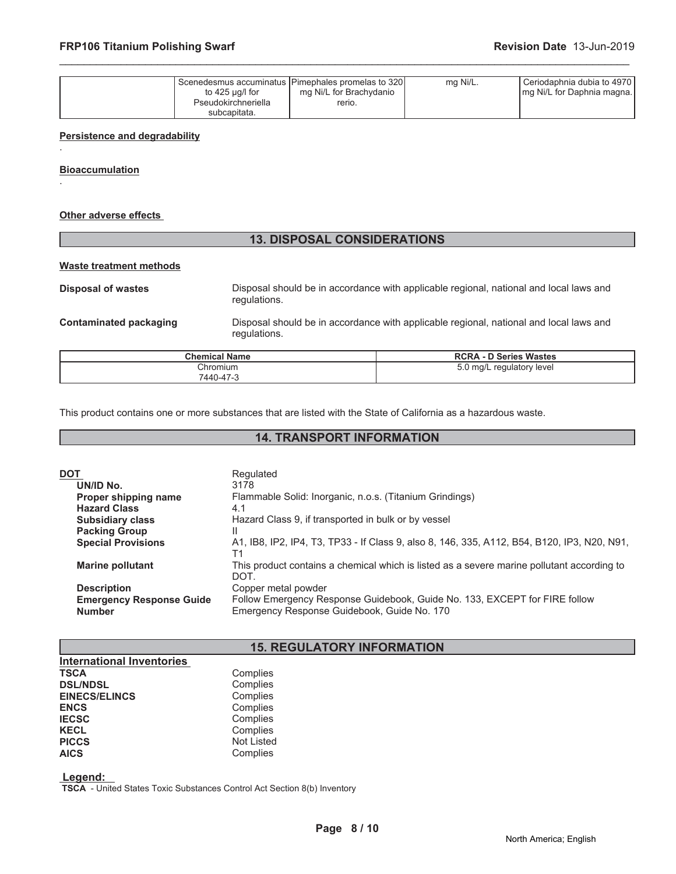| to 425 $\mu$ g/l for<br>Pseudokirchneriella | Scenedesmus accuminatus (Pimephales promelas to 320)<br>mg Ni/L for Brachydanio<br>rerio. | mg Ni/L. | Ceriodaphnia dubia to 4970<br>Img Ni/L for Daphnia magna. |
|---------------------------------------------|-------------------------------------------------------------------------------------------|----------|-----------------------------------------------------------|
| subcapitata.                                |                                                                                           |          |                                                           |

\_\_\_\_\_\_\_\_\_\_\_\_\_\_\_\_\_\_\_\_\_\_\_\_\_\_\_\_\_\_\_\_\_\_\_\_\_\_\_\_\_\_\_\_\_\_\_\_\_\_\_\_\_\_\_\_\_\_\_\_\_\_\_\_\_\_\_\_\_\_\_\_\_\_\_\_\_\_\_\_\_\_\_\_\_\_\_\_\_\_\_\_\_

#### **Persistence and degradability**

**Bioaccumulation**

.

.

#### **Other adverse effects**

### **13. DISPOSAL CONSIDERATIONS**

#### **Waste treatment methods**

**Disposal of wastes Disposal should be in accordance with applicable regional, national and local laws and** regulations. **Contaminated packaging** Disposal should be in accordance with applicable regional, national and local laws and regulations.

| <b>Chemical Name</b> | <b>Series Wastes</b><br><b>RCRA</b><br>. - D           |
|----------------------|--------------------------------------------------------|
| Chromium             | ™mq/L<br>regulatory<br>′ level<br>$\ddot{\phantom{1}}$ |
| 7440-47-3            |                                                        |

This product contains one or more substances that are listed with the State of California as a hazardous waste.

### **14. TRANSPORT INFORMATION**

| DOT |                                 | Regulated                                                                                   |
|-----|---------------------------------|---------------------------------------------------------------------------------------------|
|     | UN/ID No.                       | 3178                                                                                        |
|     | Proper shipping name            | Flammable Solid: Inorganic, n.o.s. (Titanium Grindings)                                     |
|     | <b>Hazard Class</b>             | 4.1                                                                                         |
|     | <b>Subsidiary class</b>         | Hazard Class 9, if transported in bulk or by vessel                                         |
|     | <b>Packing Group</b>            | Ш                                                                                           |
|     | <b>Special Provisions</b>       | A1, IB8, IP2, IP4, T3, TP33 - If Class 9, also 8, 146, 335, A112, B54, B120, IP3, N20, N91, |
|     |                                 | T1                                                                                          |
|     | <b>Marine pollutant</b>         | This product contains a chemical which is listed as a severe marine pollutant according to  |
|     |                                 | DOT.                                                                                        |
|     | <b>Description</b>              | Copper metal powder                                                                         |
|     | <b>Emergency Response Guide</b> | Follow Emergency Response Guidebook, Guide No. 133, EXCEPT for FIRE follow                  |
|     | <b>Number</b>                   | Emergency Response Guidebook, Guide No. 170                                                 |
|     |                                 |                                                                                             |

### **15. REGULATORY INFORMATION**

| <b>International Inventories</b> |                   |
|----------------------------------|-------------------|
| <b>TSCA</b>                      | Complies          |
| <b>DSL/NDSL</b>                  | Complies          |
| <b>EINECS/ELINCS</b>             | Complies          |
| <b>ENCS</b>                      | Complies          |
| <b>IECSC</b>                     | Complies          |
| <b>KECL</b>                      | Complies          |
| <b>PICCS</b>                     | <b>Not Listed</b> |
| <b>AICS</b>                      | Complies          |

 **Legend:** 

 **TSCA** - United States Toxic Substances Control Act Section 8(b) Inventory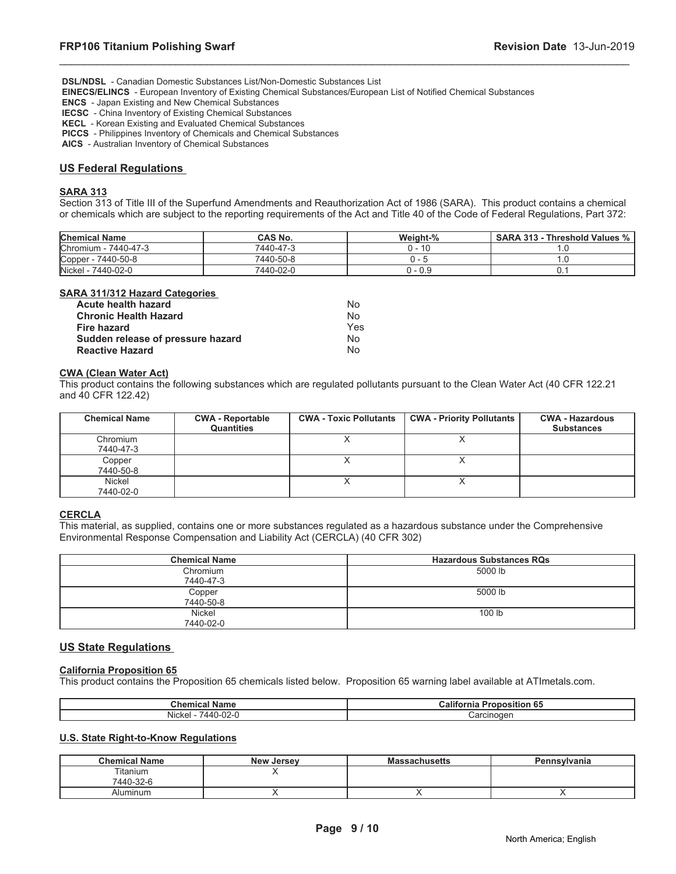**DSL/NDSL** - Canadian Domestic Substances List/Non-Domestic Substances List

 **EINECS/ELINCS** - European Inventory of Existing Chemical Substances/European List of Notified Chemical Substances

 **ENCS** - Japan Existing and New Chemical Substances

 **IECSC** - China Inventory of Existing Chemical Substances

 **KECL** - Korean Existing and Evaluated Chemical Substances

 **PICCS** - Philippines Inventory of Chemicals and Chemical Substances

 **AICS** - Australian Inventory of Chemical Substances

#### **US Federal Regulations**

#### **SARA 313**

Section 313 of Title III of the Superfund Amendments and Reauthorization Act of 1986 (SARA). This product contains a chemical or chemicals which are subject to the reporting requirements of the Act and Title 40 of the Code of Federal Regulations, Part 372:

\_\_\_\_\_\_\_\_\_\_\_\_\_\_\_\_\_\_\_\_\_\_\_\_\_\_\_\_\_\_\_\_\_\_\_\_\_\_\_\_\_\_\_\_\_\_\_\_\_\_\_\_\_\_\_\_\_\_\_\_\_\_\_\_\_\_\_\_\_\_\_\_\_\_\_\_\_\_\_\_\_\_\_\_\_\_\_\_\_\_\_\_\_

| <b>Chemical Name</b> | CAS No.   | Weight-% | <b>SARA 313 - Threshold Values %</b> |
|----------------------|-----------|----------|--------------------------------------|
| Chromium - 7440-47-3 | 7440-47-3 | 0 - 10   |                                      |
| Copper - 7440-50-8   | 7440-50-8 | J -      |                                      |
| Nickel - 7440-02-0   | 7440-02-0 | J - 0.9  |                                      |

#### **SARA 311/312 Hazard Categories**

| Acute health hazard               | Nο  |
|-----------------------------------|-----|
| <b>Chronic Health Hazard</b>      | Nο  |
| <b>Fire hazard</b>                | Yes |
| Sudden release of pressure hazard | N٥  |
| <b>Reactive Hazard</b>            | Nο  |

### **CWA (Clean Water Act)**

This product contains the following substances which are regulated pollutants pursuant to the Clean Water Act (40 CFR 122.21 and 40 CFR 122.42)

| <b>Chemical Name</b> | <b>CWA - Reportable</b><br><b>Quantities</b> | <b>CWA - Toxic Pollutants</b> | <b>CWA - Priority Pollutants</b> | <b>CWA - Hazardous</b><br><b>Substances</b> |
|----------------------|----------------------------------------------|-------------------------------|----------------------------------|---------------------------------------------|
| Chromium             |                                              |                               |                                  |                                             |
| 7440-47-3            |                                              |                               |                                  |                                             |
| Copper               |                                              |                               |                                  |                                             |
| 7440-50-8            |                                              |                               |                                  |                                             |
| Nickel               |                                              |                               |                                  |                                             |
| 7440-02-0            |                                              |                               |                                  |                                             |

#### **CERCLA**

This material, as supplied, contains one or more substances regulated as a hazardous substance under the Comprehensive Environmental Response Compensation and Liability Act (CERCLA) (40 CFR 302)

| <b>Chemical Name</b> | <b>Hazardous Substances RQs</b> |
|----------------------|---------------------------------|
| Chromium             | 5000 lb                         |
| 7440-47-3            |                                 |
| Copper               | 5000 lb                         |
| 7440-50-8            |                                 |
| Nickel               | 100 lb                          |
| 7440-02-0            |                                 |

#### **US State Regulations**

#### **California Proposition 65**

This product contains the Proposition 65 chemicals listed below. Proposition 65 warning label available at ATImetals.com.

| Chemical<br>Name                   | اialif<br>- - -<br>'roposition 65<br>тна |
|------------------------------------|------------------------------------------|
| Nicke<br>$\sim$<br>7440-l<br>י−∠ט- | Carcinoden                               |

#### **U.S. State Right-to-Know Regulations**

| <b>Chemical Name</b>  | <b>New Jersey</b> | <b>Massachusetts</b> | <b>Pennsylvania</b> |
|-----------------------|-------------------|----------------------|---------------------|
| Titanium<br>7440-32-6 |                   |                      |                     |
|                       |                   |                      |                     |
| Aluminum              |                   |                      |                     |